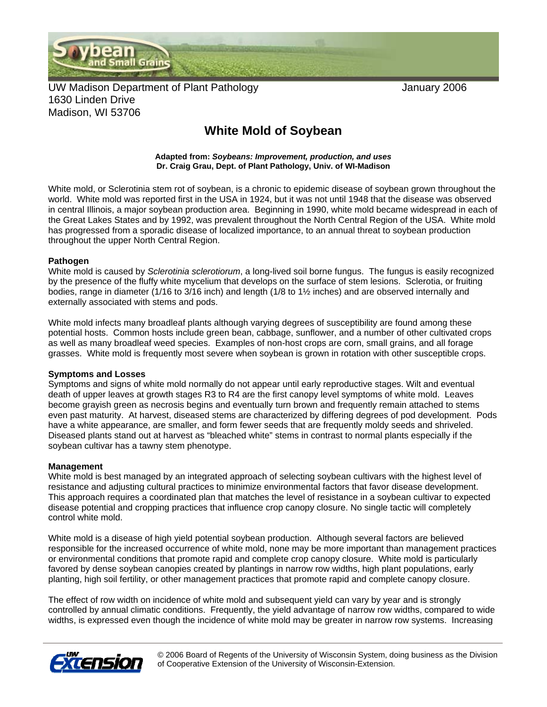

UW Madison Department of Plant Pathology January 2006 1630 Linden Drive Madison, WI 53706

## **White Mold of Soybean**

**Adapted from:** *Soybeans: Improvement, production, and uses*  **Dr. Craig Grau, Dept. of Plant Pathology, Univ. of WI-Madison** 

White mold, or Sclerotinia stem rot of soybean, is a chronic to epidemic disease of soybean grown throughout the world. White mold was reported first in the USA in 1924, but it was not until 1948 that the disease was observed in central Illinois, a major soybean production area. Beginning in 1990, white mold became widespread in each of the Great Lakes States and by 1992, was prevalent throughout the North Central Region of the USA. White mold has progressed from a sporadic disease of localized importance, to an annual threat to soybean production throughout the upper North Central Region.

## **Pathogen**

White mold is caused by *Sclerotinia sclerotiorum*, a long-lived soil borne fungus. The fungus is easily recognized by the presence of the fluffy white mycelium that develops on the surface of stem lesions. Sclerotia, or fruiting bodies, range in diameter (1/16 to 3/16 inch) and length (1/8 to 1½ inches) and are observed internally and externally associated with stems and pods.

White mold infects many broadleaf plants although varying degrees of susceptibility are found among these potential hosts. Common hosts include green bean, cabbage, sunflower, and a number of other cultivated crops as well as many broadleaf weed species. Examples of non-host crops are corn, small grains, and all forage grasses. White mold is frequently most severe when soybean is grown in rotation with other susceptible crops.

## **Symptoms and Losses**

Symptoms and signs of white mold normally do not appear until early reproductive stages. Wilt and eventual death of upper leaves at growth stages R3 to R4 are the first canopy level symptoms of white mold. Leaves become grayish green as necrosis begins and eventually turn brown and frequently remain attached to stems even past maturity. At harvest, diseased stems are characterized by differing degrees of pod development. Pods have a white appearance, are smaller, and form fewer seeds that are frequently moldy seeds and shriveled. Diseased plants stand out at harvest as "bleached white" stems in contrast to normal plants especially if the soybean cultivar has a tawny stem phenotype.

## **Management**

White mold is best managed by an integrated approach of selecting soybean cultivars with the highest level of resistance and adjusting cultural practices to minimize environmental factors that favor disease development. This approach requires a coordinated plan that matches the level of resistance in a soybean cultivar to expected disease potential and cropping practices that influence crop canopy closure. No single tactic will completely control white mold.

White mold is a disease of high yield potential soybean production. Although several factors are believed responsible for the increased occurrence of white mold, none may be more important than management practices or environmental conditions that promote rapid and complete crop canopy closure. White mold is particularly favored by dense soybean canopies created by plantings in narrow row widths, high plant populations, early planting, high soil fertility, or other management practices that promote rapid and complete canopy closure.

The effect of row width on incidence of white mold and subsequent yield can vary by year and is strongly controlled by annual climatic conditions. Frequently, the yield advantage of narrow row widths, compared to wide widths, is expressed even though the incidence of white mold may be greater in narrow row systems. Increasing